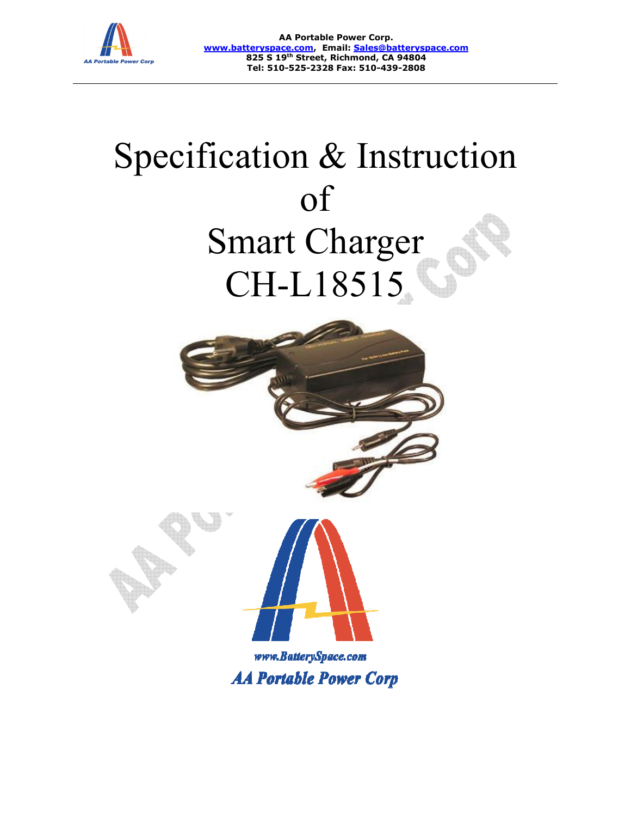

**www.batteryspace.com www.batteryspace.com, Email: Sales@batteryspace.com AA Portable Power Corp. 825 S 19th Street, Richmond, CA 94804 Tel: 510-525-2328 Fax: 510-439-2808**

# Specification & Instruction Smart Smart Charger CH CH-L18515 of

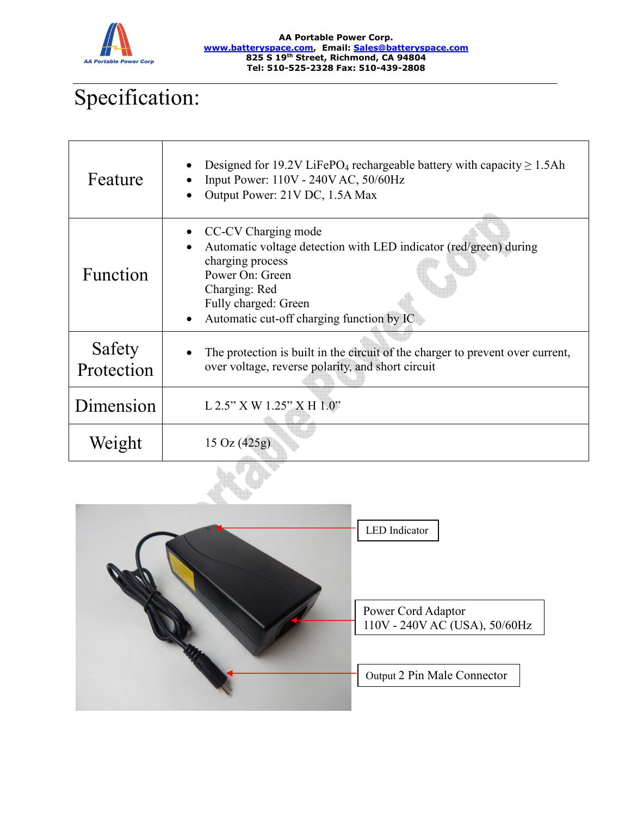

#### **AA Portable Power Corp. www.batteryspace.com, Email: Sales@batteryspace.com 825 S 19th Street, Richmond, CA 94804 Tel: 510-525-2328 Fax: 510-439-2808**

## Specification:

| Feature              | Designed for 19.2V LiFePO <sub>4</sub> rechargeable battery with capacity $\geq 1.5$ Ah<br>Input Power: 110V - 240V AC, 50/60Hz<br>Output Power: 21V DC, 1.5A Max                                                     |
|----------------------|-----------------------------------------------------------------------------------------------------------------------------------------------------------------------------------------------------------------------|
| <b>Function</b>      | CC-CV Charging mode<br>Automatic voltage detection with LED indicator (red/green) during<br>charging process<br>Power On: Green<br>Charging: Red<br>Fully charged: Green<br>Automatic cut-off charging function by IC |
| Safety<br>Protection | The protection is built in the circuit of the charger to prevent over current,<br>over voltage, reverse polarity, and short circuit                                                                                   |
| Dimension            | $L 2.5"$ X W 1.25" X H 1.0"                                                                                                                                                                                           |
| Weight               | $15 \text{ Oz} (425g)$                                                                                                                                                                                                |



Power Cord Adaptor 110V - 240V AC (USA), 50/60Hz

Output 2 Pin Male Connector